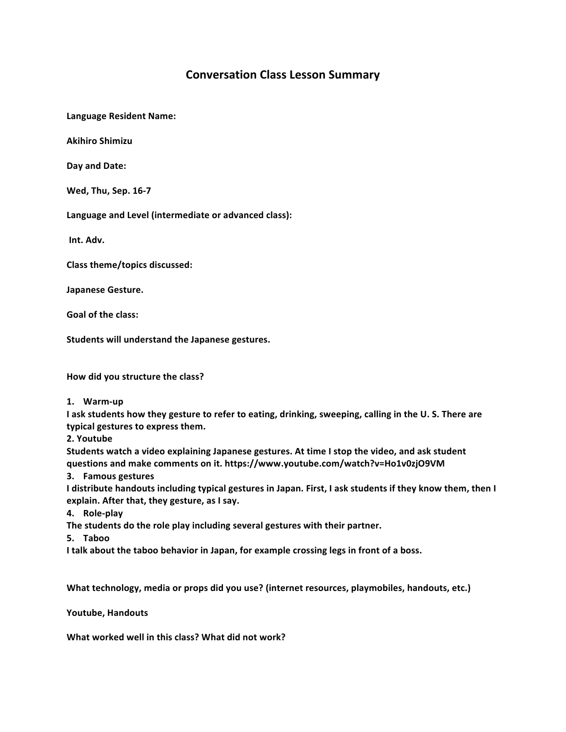## **Conversation Class Lesson Summary**

**Language Resident Name:**

**Akihiro Shimizu**

**Day and Date:**

**Wed, Thu, Sep. 16-7**

Language and Level (intermediate or advanced class):

**Int. Adv.**

**Class theme/topics discussed:**

**Japanese Gesture.**

**Goal of the class:**

Students will understand the Japanese gestures.

How did you structure the class?

**1. Warm-up**

**I** ask students how they gesture to refer to eating, drinking, sweeping, calling in the U. S. There are typical gestures to express them.

**2. Youtube**

Students watch a video explaining Japanese gestures. At time I stop the video, and ask student **questions and make comments on it. https://www.youtube.com/watch?v=Ho1v0zjO9VM**

**3. Famous gestures**

I distribute handouts including typical gestures in Japan. First, I ask students if they know them, then I explain. After that, they gesture, as I say.

**4. Role-play**

The students do the role play including several gestures with their partner.

**5. Taboo**

I talk about the taboo behavior in Japan, for example crossing legs in front of a boss.

**What technology, media or props did you use? (internet resources, playmobiles, handouts, etc.)** 

**Youtube, Handouts**

**What worked well in this class? What did not work?**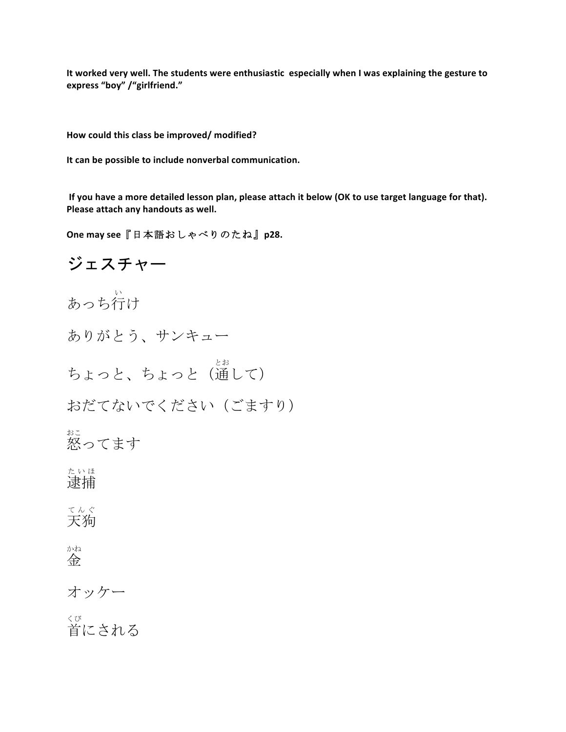It worked very well. The students were enthusiastic especially when I was explaining the gesture to **express "boy" /"girlfriend."**

How could this class be improved/ modified?

It can be possible to include nonverbal communication.

If you have a more detailed lesson plan, please attach it below (OK to use target language for that). Please attach any handouts as well.

**One may see 『日本語おしゃべりのたね』p28.** 

ジェスチャー あっち行 い け ありがとう、サンキュー ちょっと、ちょっと(通 とお して) おだてないでください(ごますり) 怒 おこ ってます 逮捕 たいほ 天狗 てんぐ 金 かね オッケー 首 くび にされる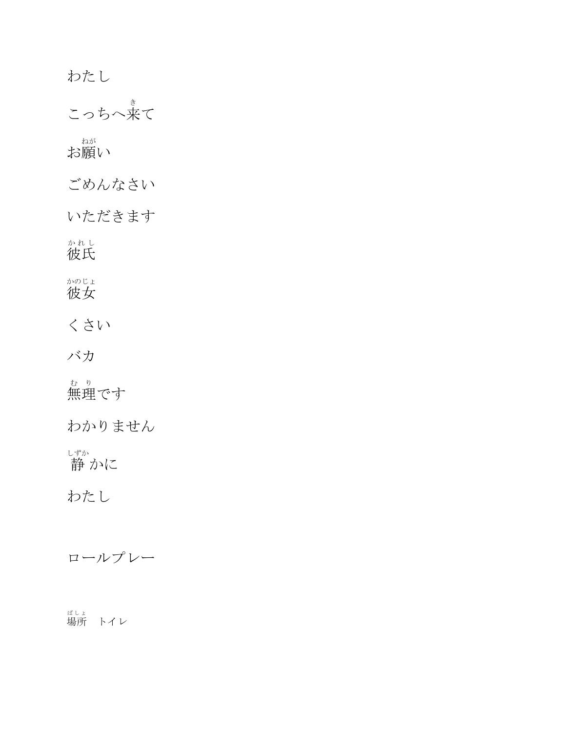わたし こっちへ来 き て お願 ねが い ごめんなさい いただきます 彼氏 かれし 彼女 かのじょ くさい バカ 無理 む り です わかりません 静 しずか かに わたし

ロールプレー

<sub>ばしょ</sub><br>場所 トイレ